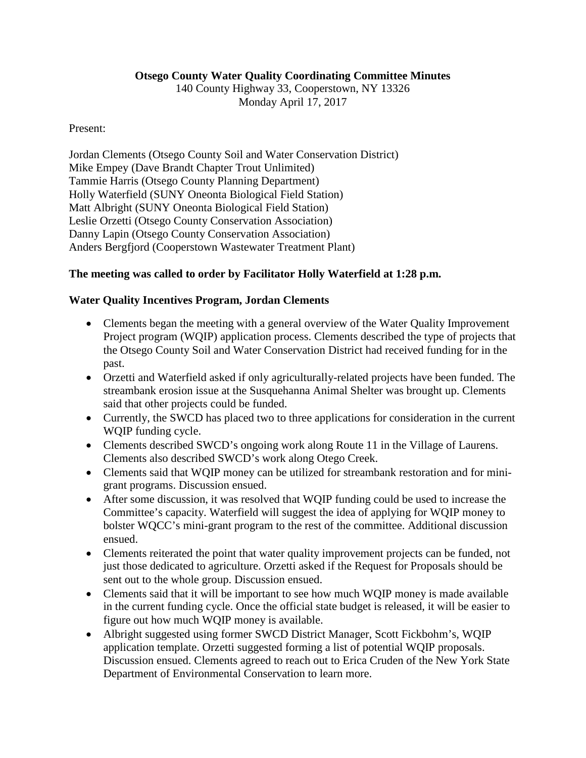#### **Otsego County Water Quality Coordinating Committee Minutes**

140 County Highway 33, Cooperstown, NY 13326 Monday April 17, 2017

#### Present:

Jordan Clements (Otsego County Soil and Water Conservation District) Mike Empey (Dave Brandt Chapter Trout Unlimited) Tammie Harris (Otsego County Planning Department) Holly Waterfield (SUNY Oneonta Biological Field Station) Matt Albright (SUNY Oneonta Biological Field Station) Leslie Orzetti (Otsego County Conservation Association) Danny Lapin (Otsego County Conservation Association) Anders Bergfjord (Cooperstown Wastewater Treatment Plant)

## **The meeting was called to order by Facilitator Holly Waterfield at 1:28 p.m.**

## **Water Quality Incentives Program, Jordan Clements**

- Clements began the meeting with a general overview of the Water Quality Improvement Project program (WQIP) application process. Clements described the type of projects that the Otsego County Soil and Water Conservation District had received funding for in the past.
- Orzetti and Waterfield asked if only agriculturally-related projects have been funded. The streambank erosion issue at the Susquehanna Animal Shelter was brought up. Clements said that other projects could be funded.
- Currently, the SWCD has placed two to three applications for consideration in the current WQIP funding cycle.
- Clements described SWCD's ongoing work along Route 11 in the Village of Laurens. Clements also described SWCD's work along Otego Creek.
- Clements said that WQIP money can be utilized for streambank restoration and for minigrant programs. Discussion ensued.
- After some discussion, it was resolved that WOIP funding could be used to increase the Committee's capacity. Waterfield will suggest the idea of applying for WQIP money to bolster WQCC's mini-grant program to the rest of the committee. Additional discussion ensued.
- Clements reiterated the point that water quality improvement projects can be funded, not just those dedicated to agriculture. Orzetti asked if the Request for Proposals should be sent out to the whole group. Discussion ensued.
- Clements said that it will be important to see how much WQIP money is made available in the current funding cycle. Once the official state budget is released, it will be easier to figure out how much WQIP money is available.
- Albright suggested using former SWCD District Manager, Scott Fickbohm's, WOIP application template. Orzetti suggested forming a list of potential WQIP proposals. Discussion ensued. Clements agreed to reach out to Erica Cruden of the New York State Department of Environmental Conservation to learn more.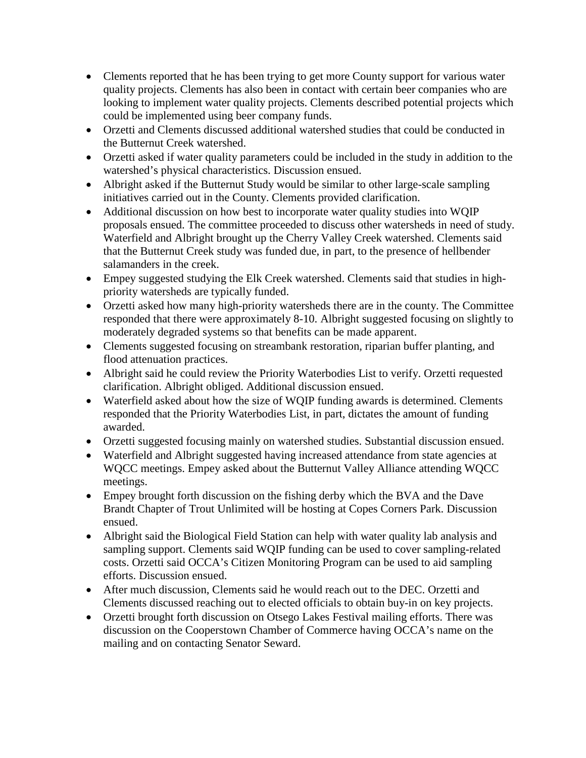- Clements reported that he has been trying to get more County support for various water quality projects. Clements has also been in contact with certain beer companies who are looking to implement water quality projects. Clements described potential projects which could be implemented using beer company funds.
- Orzetti and Clements discussed additional watershed studies that could be conducted in the Butternut Creek watershed.
- Orzetti asked if water quality parameters could be included in the study in addition to the watershed's physical characteristics. Discussion ensued.
- Albright asked if the Butternut Study would be similar to other large-scale sampling initiatives carried out in the County. Clements provided clarification.
- Additional discussion on how best to incorporate water quality studies into WOIP proposals ensued. The committee proceeded to discuss other watersheds in need of study. Waterfield and Albright brought up the Cherry Valley Creek watershed. Clements said that the Butternut Creek study was funded due, in part, to the presence of hellbender salamanders in the creek.
- Empey suggested studying the Elk Creek watershed. Clements said that studies in highpriority watersheds are typically funded.
- Orzetti asked how many high-priority watersheds there are in the county. The Committee responded that there were approximately 8-10. Albright suggested focusing on slightly to moderately degraded systems so that benefits can be made apparent.
- Clements suggested focusing on streambank restoration, riparian buffer planting, and flood attenuation practices.
- Albright said he could review the Priority Waterbodies List to verify. Orzetti requested clarification. Albright obliged. Additional discussion ensued.
- Waterfield asked about how the size of WOIP funding awards is determined. Clements responded that the Priority Waterbodies List, in part, dictates the amount of funding awarded.
- Orzetti suggested focusing mainly on watershed studies. Substantial discussion ensued.
- Waterfield and Albright suggested having increased attendance from state agencies at WQCC meetings. Empey asked about the Butternut Valley Alliance attending WQCC meetings.
- Empey brought forth discussion on the fishing derby which the BVA and the Dave Brandt Chapter of Trout Unlimited will be hosting at Copes Corners Park. Discussion ensued.
- Albright said the Biological Field Station can help with water quality lab analysis and sampling support. Clements said WQIP funding can be used to cover sampling-related costs. Orzetti said OCCA's Citizen Monitoring Program can be used to aid sampling efforts. Discussion ensued.
- After much discussion, Clements said he would reach out to the DEC. Orzetti and Clements discussed reaching out to elected officials to obtain buy-in on key projects.
- Orzetti brought forth discussion on Otsego Lakes Festival mailing efforts. There was discussion on the Cooperstown Chamber of Commerce having OCCA's name on the mailing and on contacting Senator Seward.